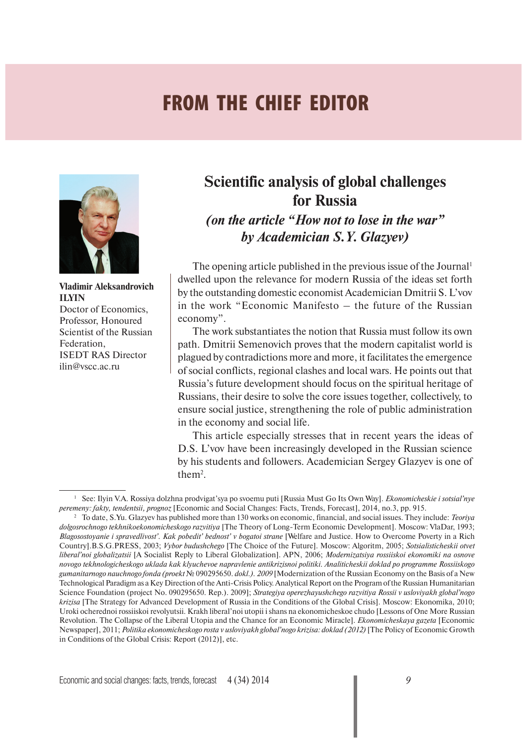## **FROM THE CHIEF EDITOR**



**Vladimir Aleksandrovich ILYIN** Doctor of Economics, Professor, Honoured Scientist of the Russian Federation, ISEDT RAS Director ilin@vscc.ac.ru

## **Scientific analysis of global challenges for Russia**

*(on the article "How not to lose in the war" by Academician S.Y. Glazyev)*

The opening article published in the previous issue of the Journal<sup>1</sup> dwelled upon the relevance for modern Russia of the ideas set forth by the outstanding domestic economist Academician Dmitrii S. L'vov in the work "Economic Manifesto – the future of the Russian economy".

The work substantiates the notion that Russia must follow its own path. Dmitrii Semenovich proves that the modern capitalist world is plagued by contradictions more and more, it facilitates the emergence of social conflicts, regional clashes and local wars. He points out that Russia's future development should focus on the spiritual heritage of Russians, their desire to solve the core issues together, collectively, to ensure social justice, strengthening the role of public administration in the economy and social life.

This article especially stresses that in recent years the ideas of D.S. L'vov have been increasingly developed in the Russian science by his students and followers. Academician Sergey Glazyev is one of them<sup>2</sup>.

<sup>1</sup> See: Ilyin V.A. Rossiya dolzhna prodvigat'sya po svoemu puti [Russia Must Go Its Own Way]. *Ekonomicheskie i sotsial'nye peremeny: fakty, tendentsii, prognoz* [Economic and Social Changes: Facts, Trends, Forecast], 2014, no.3, pp. 9 15.

<sup>2</sup> To date, S.Yu. Glazyev has published more than 130 works on economic, financial, and social issues. They include: *Teoriya dolgosrochnogo tekhniko ekonomicheskogo razvitiya* [The Theory of Long-Term Economic Development]. Moscow: VlaDar, 1993; *Blagosostoyanie i spravedlivost'. Kak pobedit' bednost' v bogatoi strane* [Welfare and Justice. How to Overcome Poverty in a Rich Country].B.S.G. PRESS, 2003; *Vybor budushchego* [The Choice of the Future]. Moscow: Algoritm, 2005; *Sotsialisticheskii otvet liberal'noi globalizatsii* [A Socialist Reply to Liberal Globalization]. APN, 2006; *Modernizatsiya rossiiskoi ekonomiki na osnove novogo tekhnologicheskogo uklada kak klyuchevoe napravlenie antikrizisnoi politiki. Analiticheskii doklad po programme Rossiiskogo gumanitarnogo nauchnogo fonda (proekt* № 090295650. *dokl.). 2009* [Modernization of the Russian Economy on the Basis of a New Technological Paradigm as a Key Direction of the Anti-Crisis Policy. Analytical Report on the Program of the Russian Humanitarian Science Foundation (project No. 090295650. Rep.). 2009]; *Strategiya operezhayushchego razvitiya Rossii v usloviyakh global'nogo krizisa* [The Strategy for Advanced Development of Russia in the Conditions of the Global Crisis]. Moscow: Ekonomika, 2010; Uroki ocherednoi rossiiskoi revolyutsii. Krakh liberal'noi utopii i shans na ekonomicheskoe chudo [Lessons of One More Russian Revolution. The Collapse of the Liberal Utopia and the Chance for an Economic Miracle]. *Ekonomicheskaya gazeta* [Economic Newspaper], 2011; *Politika ekonomicheskogo rosta v usloviyakh global'nogo krizisa: doklad (2012)* [The Policy of Economic Growth in Conditions of the Global Crisis: Report (2012)], etc.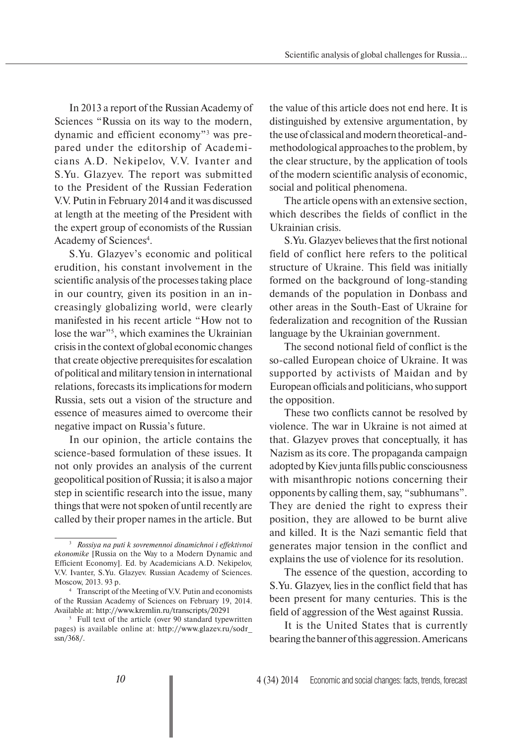In 2013 a report of the Russian Academy of Sciences "Russia on its way to the modern, dynamic and efficient economy"3 was prepared under the editorship of Academicians A.D. Nekipelov, V.V. Ivanter and S.Yu. Glazyev. The report was submitted to the President of the Russian Federation V.V. Putin in February 2014 and it was discussed at length at the meeting of the President with the expert group of economists of the Russian Academy of Sciences<sup>4</sup>.

S.Yu. Glazyev's economic and political erudition, his constant involvement in the scientific analysis of the processes taking place in our country, given its position in an increasingly globalizing world, were clearly manifested in his recent article "How not to lose the war"<sup>5</sup>, which examines the Ukrainian crisis in the context of global economic changes that create objective prerequisites for escalation of political and military tension in international relations, forecasts its implications for modern Russia, sets out a vision of the structure and essence of measures aimed to overcome their negative impact on Russia's future.

In our opinion, the article contains the science-based formulation of these issues. It not only provides an analysis of the current geopolitical position of Russia; it is also a major step in scientific research into the issue, many things that were not spoken of until recently are called by their proper names in the article. But the value of this article does not end here. It is distinguished by extensive argumentation, by the use of classical and modern theoretical-andmethodological approaches to the problem, by the clear structure, by the application of tools of the modern scientific analysis of economic, social and political phenomena.

The article opens with an extensive section, which describes the fields of conflict in the Ukrainian crisis.

S.Yu. Glazyev believes that the first notional field of conflict here refers to the political structure of Ukraine. This field was initially formed on the background of long-standing demands of the population in Donbass and other areas in the South-East of Ukraine for federalization and recognition of the Russian language by the Ukrainian government.

The second notional field of conflict is the so-called European choice of Ukraine. It was supported by activists of Maidan and by European officials and politicians, who support the opposition.

These two conflicts cannot be resolved by violence. The war in Ukraine is not aimed at that. Glazyev proves that conceptually, it has Nazism as its core. The propaganda campaign adopted by Kiev junta fills public consciousness with misanthropic notions concerning their opponents by calling them, say, "subhumans". They are denied the right to express their position, they are allowed to be burnt alive and killed. It is the Nazi semantic field that generates major tension in the conflict and explains the use of violence for its resolution.

The essence of the question, according to S.Yu. Glazyev, lies in the conflict field that has been present for many centuries. This is the field of aggression of the West against Russia.

It is the United States that is currently bearing the banner of this aggression. Americans

<sup>3</sup>  *Rossiya na puti k sovremennoi dinamichnoi i effektivnoi ekonomike* [Russia on the Way to a Modern Dynamic and Efficient Economy]. Ed. by Academicians A.D. Nekipelov, V.V. Ivanter, S.Yu. Glazyev. Russian Academy of Sciences. Moscow, 2013. 93 p.

<sup>4</sup> Transcript of the Meeting of V.V. Putin and economists of the Russian Academy of Sciences on February 19, 2014. Available at: http://www.kremlin.ru/transcripts/20291 5

 $5$  Full text of the article (over 90 standard typewritten pages) is available online at: http://www.glazev.ru/sodr\_ ssn/368/.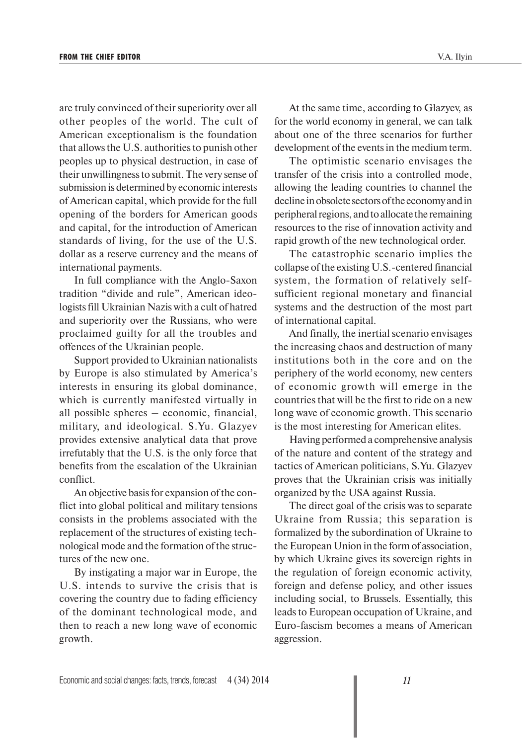are truly convinced of their superiority over all other peoples of the world. The cult of American exceptionalism is the foundation that allows the U.S. authorities to punish other peoples up to physical destruction, in case of their unwillingness to submit. The very sense of submission is determined by economic interests of American capital, which provide for the full opening of the borders for American goods and capital, for the introduction of American standards of living, for the use of the U.S. dollar as a reserve currency and the means of international payments.

In full compliance with the Anglo-Saxon tradition "divide and rule", American ideologists fill Ukrainian Nazis with a cult of hatred and superiority over the Russians, who were proclaimed guilty for all the troubles and offences of the Ukrainian people.

Support provided to Ukrainian nationalists by Europe is also stimulated by America's interests in ensuring its global dominance, which is currently manifested virtually in all possible spheres – economic, financial, military, and ideological. S.Yu. Glazyev provides extensive analytical data that prove irrefutably that the U.S. is the only force that benefits from the escalation of the Ukrainian conflict.

An objective basis for expansion of the conflict into global political and military tensions consists in the problems associated with the replacement of the structures of existing technological mode and the formation of the structures of the new one.

By instigating a major war in Europe, the U.S. intends to survive the crisis that is covering the country due to fading efficiency of the dominant technological mode, and then to reach a new long wave of economic growth.

At the same time, according to Glazyev, as for the world economy in general, we can talk about one of the three scenarios for further development of the events in the medium term.

The optimistic scenario envisages the transfer of the crisis into a controlled mode, allowing the leading countries to channel the decline in obsolete sectors of the economy and in peripheral regions, and to allocate the remaining resources to the rise of innovation activity and rapid growth of the new technological order.

The catastrophic scenario implies the collapse of the existing U.S.-centered financial system, the formation of relatively selfsufficient regional monetary and financial systems and the destruction of the most part of international capital.

And finally, the inertial scenario envisages the increasing chaos and destruction of many institutions both in the core and on the periphery of the world economy, new centers of economic growth will emerge in the countries that will be the first to ride on a new long wave of economic growth. This scenario is the most interesting for American elites.

Having performed a comprehensive analysis of the nature and content of the strategy and tactics of American politicians, S.Yu. Glazyev proves that the Ukrainian crisis was initially organized by the USA against Russia.

The direct goal of the crisis was to separate Ukraine from Russia; this separation is formalized by the subordination of Ukraine to the European Union in the form of association, by which Ukraine gives its sovereign rights in the regulation of foreign economic activity, foreign and defense policy, and other issues including social, to Brussels. Essentially, this leads to European occupation of Ukraine, and Euro-fascism becomes a means of American aggression.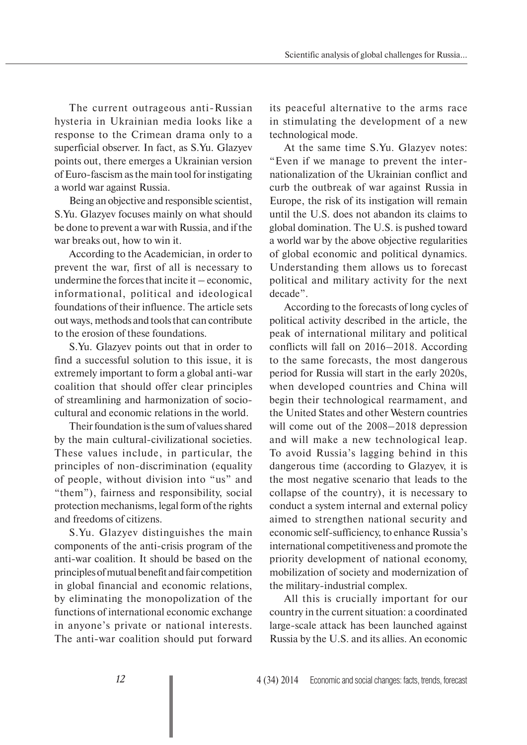The current outrageous anti-Russian hysteria in Ukrainian media looks like a response to the Crimean drama only to a superficial observer. In fact, as S.Yu. Glazyev points out, there emerges a Ukrainian version of Euro-fascism as the main tool for instigating a world war against Russia.

Being an objective and responsible scientist, S.Yu. Glazyev focuses mainly on what should be done to prevent a war with Russia, and if the war breaks out, how to win it.

According to the Academician, in order to prevent the war, first of all is necessary to undermine the forces that incite it – economic, informational, political and ideological foundations of their influence. The article sets out ways, methods and tools that can contribute to the erosion of these foundations.

S.Yu. Glazyev points out that in order to find a successful solution to this issue, it is extremely important to form a global anti-war coalition that should offer clear principles of streamlining and harmonization of sociocultural and economic relations in the world.

Their foundation is the sum of values shared by the main cultural-civilizational societies. These values include, in particular, the principles of non-discrimination (equality of people, without division into "us" and "them"), fairness and responsibility, social protection mechanisms, legal form of the rights and freedoms of citizens.

S.Yu. Glazyev distinguishes the main components of the anti-crisis program of the anti-war coalition. It should be based on the principles of mutual benefit and fair competition in global financial and economic relations, by eliminating the monopolization of the functions of international economic exchange in anyone's private or national interests. The anti-war coalition should put forward its peaceful alternative to the arms race in stimulating the development of a new technological mode.

At the same time S.Yu. Glazyev notes: "Even if we manage to prevent the internationalization of the Ukrainian conflict and curb the outbreak of war against Russia in Europe, the risk of its instigation will remain until the U.S. does not abandon its claims to global domination. The U.S. is pushed toward a world war by the above objective regularities of global economic and political dynamics. Understanding them allows us to forecast political and military activity for the next decade".

According to the forecasts of long cycles of political activity described in the article, the peak of international military and political conflicts will fall on 2016–2018. According to the same forecasts, the most dangerous period for Russia will start in the early 2020s, when developed countries and China will begin their technological rearmament, and the United States and other Western countries will come out of the 2008–2018 depression and will make a new technological leap. To avoid Russia's lagging behind in this dangerous time (according to Glazyev, it is the most negative scenario that leads to the collapse of the country), it is necessary to conduct a system internal and external policy aimed to strengthen national security and economic self-sufficiency, to enhance Russia's international competitiveness and promote the priority development of national economy, mobilization of society and modernization of the military-industrial complex.

All this is crucially important for our country in the current situation: a coordinated large-scale attack has been launched against Russia by the U.S. and its allies. An economic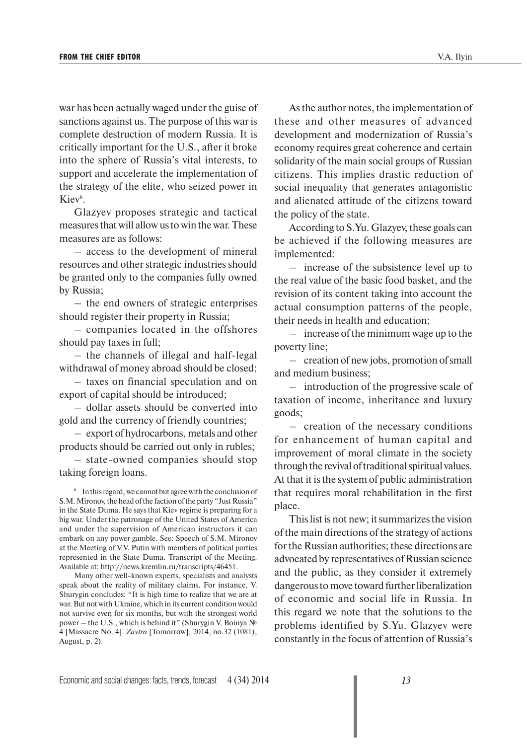war has been actually waged under the guise of sanctions against us. The purpose of this war is complete destruction of modern Russia. It is critically important for the U.S., after it broke into the sphere of Russia's vital interests, to support and accelerate the implementation of the strategy of the elite, who seized power in Kiev<sup>6</sup>.

Glazyev proposes strategic and tactical measures that will allow us to win the war. These measures are as follows:

– access to the development of mineral resources and other strategic industries should be granted only to the companies fully owned by Russia;

– the end owners of strategic enterprises should register their property in Russia;

– companies located in the offshores should pay taxes in full;

– the channels of illegal and half-legal withdrawal of money abroad should be closed;

– taxes on financial speculation and on export of capital should be introduced;

– dollar assets should be converted into gold and the currency of friendly countries;

– export of hydrocarbons, metals and other products should be carried out only in rubles;

– state-owned companies should stop taking foreign loans.

As the author notes, the implementation of these and other measures of advanced development and modernization of Russia's economy requires great coherence and certain solidarity of the main social groups of Russian citizens. This implies drastic reduction of social inequality that generates antagonistic and alienated attitude of the citizens toward the policy of the state.

According to S.Yu. Glazyev, these goals can be achieved if the following measures are implemented:

– increase of the subsistence level up to the real value of the basic food basket, and the revision of its content taking into account the actual consumption patterns of the people, their needs in health and education;

– increase of the minimum wage up to the poverty line;

– creation of new jobs, promotion of small and medium business;

– introduction of the progressive scale of taxation of income, inheritance and luxury goods;

– creation of the necessary conditions for enhancement of human capital and improvement of moral climate in the society through the revival of traditional spiritual values. At that it is the system of public administration that requires moral rehabilitation in the first place.

This list is not new; it summarizes the vision of the main directions of the strategy of actions for the Russian authorities; these directions are advocated by representatives of Russian science and the public, as they consider it extremely dangerous to move toward further liberalization of economic and social life in Russia. In this regard we note that the solutions to the problems identified by S.Yu. Glazyev were constantly in the focus of attention of Russia's

<sup>&</sup>lt;sup>6</sup> In this regard, we cannot but agree with the conclusion of S.M. Mironov, the head of the faction of the party "Just Russia" in the State Duma. He says that Kiev regime is preparing for a big war. Under the patronage of the United States of America and under the supervision of American instructors it can embark on any power gamble. See: Speech of S.M. Mironov at the Meeting of V.V. Putin with members of political parties represented in the State Dumа. Transcript of the Meeting. Available at: http://news.kremlin.ru/transcripts/46451.

Many other well-known experts, specialists and analysts speak about the reality of military claims. For instance, V. Shurygin concludes: "It is high time to realize that we are at war. But not with Ukraine, which in its current condition would not survive even for six months, but with the strongest world power – the U.S., which is behind it" (Shurygin V. Boinya № 4 [Massacre No. 4]. *Zavtra* [Tomorrow], 2014, no.32 (1081), August, p. 2).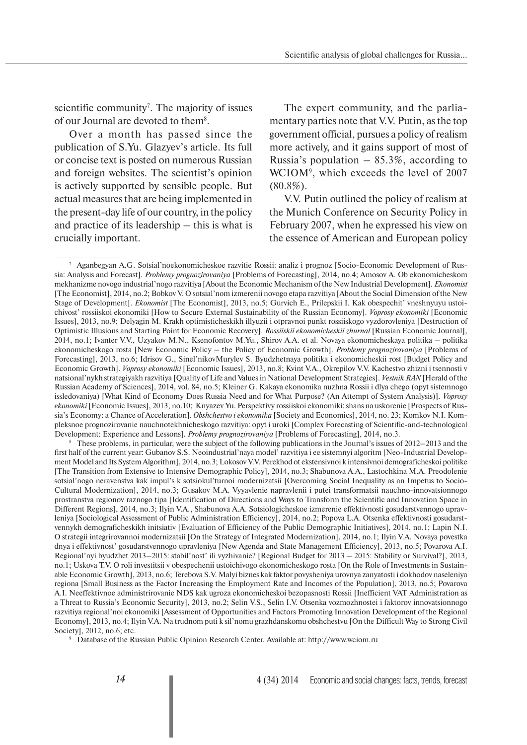Scientific analysis of global challenges for Russia...

scientific community<sup>7</sup>. The majority of issues of our Journal are devoted to them<sup>8</sup>.

Over a month has passed since the publication of S.Yu. Glazyev's article. Its full or concise text is posted on numerous Russian and foreign websites. The scientist's opinion is actively supported by sensible people. But actual measures that are being implemented in the present-day life of our country, in the policy and practice of its leadership – this is what is crucially important.

The expert community, and the parliamentary parties note that V.V. Putin, as the top government official, pursues a policy of realism more actively, and it gains support of most of Russia's population  $-85.3\%$ , according to WCIOM9 , which exceeds the level of 2007  $(80.8\%)$ .

V.V. Putin outlined the policy of realism at the Munich Conference on Security Policy in February 2007, when he expressed his view on the essence of American and European policy

8 These problems, in particular, were the subject of the following publications in the Journal's issues of 2012–2013 and the first half of the current year: Gubanov S.S. Neoindustrial'naya model' razvitiya i ee sistemnyi algoritm [Neo-Industrial Development Model and Its System Algorithm], 2014, no.3; Lokosov V.V. Perekhod ot ekstensivnoi k intensivnoi demograficheskoi politike [The Transition from Extensive to Intensive Demographic Policy], 2014, no.3; Shabunova A.A., Lastochkina M.A. Preodolenie sotsial'nogo neravenstva kak impul's k sotsiokul'turnoi modernizatsii [Overcoming Social Inequality as an Impetus to Socio-Cultural Modernization], 2014, no.3; Gusakov M.A. Vyyavlenie napravlenii i putei transformatsii nauchno-innovatsionnogo prostranstva regionov raznogo tipa [Identification of Directions and Ways to Transform the Scientific and Innovation Space in Different Regions], 2014, no.3; Ilyin V.A., Shabunova A.A. Sotsiologicheskoe izmerenie effektivnosti gosudarstvennogo upravleniya [Sociological Assessment of Public Administration Efficiency], 2014, no.2; Popova L.A. Otsenka effektivnosti gosudarstvennykh demograficheskikh initsiativ [Evaluation of Efficiency of the Public Demographic Initiatives], 2014, no.1; Lapin N.I. O strategii integrirovannoi modernizatsii [On the Strategy of Integrated Modernization], 2014, no.1; Ilyin V.A. Novaya povestka dnya i effektivnost' gosudarstvennogo upravleniya [New Agenda and State Management Efficiency], 2013, no.5; Povarova A.I. Regional'nyi byudzhet 2013–2015: stabil'nost' ili vyzhivanie? [Regional Budget for 2013 – 2015: Stability or Survival?], 2013, no.1; Uskova T.V. O roli investitsii v obespechenii ustoichivogo ekonomicheskogo rosta [On the Role of Investments in Sustainable Economic Growth], 2013, no.6; Terebova S.V. Malyi biznes kak faktor povysheniya urovnya zanyatosti i dokhodov naseleniya regiona [Small Business as the Factor Increasing the Employment Rate and Incomes of the Population], 2013, no.5; Povarova A.I. Neeffektivnoe administrirovanie NDS kak ugroza ekonomicheskoi bezopasnosti Rossii [Inefficient VAT Administration as a Threat to Russia's Economic Security], 2013, no.2; Selin V.S., Selin I.V. Otsenka vozmozhnostei i faktorov innovatsionnogo razvitiya regional'noi ekonomiki [Assessment of Opportunities and Factors Promoting Innovation Development of the Regional Economy], 2013, no.4; Ilyin V.A. Na trudnom puti k sil'nomu grazhdanskomu obshchestvu [On the Difficult Way to Strong Civil Society], 2012, no.6; etc.

9 Database of the Russian Public Opinion Research Center. Available at: http://www.wciom.ru

<sup>7</sup> Aganbegyan A.G. Sotsial'no ekonomicheskoe razvitie Rossii: analiz i prognoz [Socio-Economic Development of Russia: Analysis and Forecast]. *Problemy prognozirovaniya* [Problems of Forecasting], 2014, no.4; Amosov A. Ob ekonomicheskom mekhanizme novogo industrial'nogo razvitiya [About the Economic Mechanism of the New Industrial Development]. *Ekonomist* [The Economist], 2014, no.2; Bobkov V. O sotsial'nom izmerenii novogo etapa razvitiya [About the Social Dimension of the New Stage of Development]. *Ekonomist* [The Economist], 2013, no.5; Gurvich E., Prilepskii I. Kak obespechit' vneshnyuyu ustoichivost' rossiiskoi ekonomiki [How to Secure External Sustainability of the Russian Economy]. *Voprosy ekonomiki* [Economic Issues], 2013, no.9; Delyagin M. Krakh optimisticheskikh illyuzii i otpravnoi punkt rossiiskogo vyzdorovleniya [Destruction of Optimistic Illusions and Starting Point for Economic Recovery]. *Rossiiskii ekonomicheskii zhurnal* [Russian Economic Journal], 2014, no.1; Ivanter V.V., Uzyakov M.N., Ksenofontov M.Yu., Shirov A.A. et al. Novaya ekonomicheskaya politika – politika ekonomicheskogo rosta [New Economic Policy – the Policy of Economic Growth]. *Problemy prognozirovaniya* [Problems of Forecasting], 2013, no.6; Idrisov G., Sinel'nikov Murylev S. Byudzhetnaya politika i ekonomicheskii rost [Budget Policy and Economic Growth]. *Voprosy ekonomiki* [Economic Issues], 2013, no.8; Kvint V.A., Okrepilov V.V. Kachestvo zhizni i tsennosti v natsional'nykh strategiyakh razvitiya [Quality of Life and Values in National Development Strategies]. *Vestnik RAN* [Herald of the Russian Academy of Sciences], 2014, vol. 84, no.5; Kleiner G. Kakaya ekonomika nuzhna Rossii i dlya chego (opyt sistemnogo issledovaniya) [What Kind of Economy Does Russia Need and for What Purpose? (An Attempt of System Analysis)]. *Voprosy ekonomiki* [Economic Issues], 2013, no.10; Knyazev Yu. Perspektivy rossiiskoi ekonomiki: shans na uskorenie [Prospects of Russia's Economy: a Chance of Acceleration]. *Obshchestvo i ekonomika* [Society and Economics], 2014, no. 23; Komkov N.I. Kompleksnoe prognozirovanie nauchno tekhnicheskogo razvitiya: opyt i uroki [Complex Forecasting of Scientific-and-technological Development: Experience and Lessons]. *Problemy prognozirovaniya* [Problems of Forecasting], 2014, no.3.